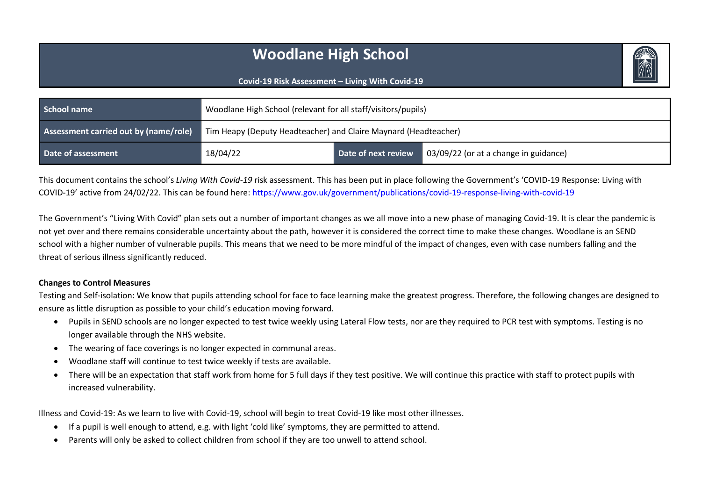# **Woodlane High School**

#### **Covid-19 Risk Assessment – Living With Covid-19**

| School name                           | Woodlane High School (relevant for all staff/visitors/pupils) |                                                                 |                                       |  |  |
|---------------------------------------|---------------------------------------------------------------|-----------------------------------------------------------------|---------------------------------------|--|--|
| Assessment carried out by (name/role) |                                                               | Tim Heapy (Deputy Headteacher) and Claire Maynard (Headteacher) |                                       |  |  |
| Date of assessment                    | 18/04/22                                                      | Date of next review                                             | 03/09/22 (or at a change in guidance) |  |  |

This document contains the school's *Living With Covid-19* risk assessment. This has been put in place following the Government's 'COVID-19 Response: Living with COVID-19' active from 24/02/22. This can be found here:<https://www.gov.uk/government/publications/covid-19-response-living-with-covid-19>

The Government's "Living With Covid" plan sets out a number of important changes as we all move into a new phase of managing Covid-19. It is clear the pandemic is not yet over and there remains considerable uncertainty about the path, however it is considered the correct time to make these changes. Woodlane is an SEND school with a higher number of vulnerable pupils. This means that we need to be more mindful of the impact of changes, even with case numbers falling and the threat of serious illness significantly reduced.

#### **Changes to Control Measures**

Testing and Self-isolation: We know that pupils attending school for face to face learning make the greatest progress. Therefore, the following changes are designed to ensure as little disruption as possible to your child's education moving forward.

- Pupils in SEND schools are no longer expected to test twice weekly using Lateral Flow tests, nor are they required to PCR test with symptoms. Testing is no longer available through the NHS website.
- The wearing of face coverings is no longer expected in communal areas.
- Woodlane staff will continue to test twice weekly if tests are available.
- There will be an expectation that staff work from home for 5 full days if they test positive. We will continue this practice with staff to protect pupils with increased vulnerability.

Illness and Covid-19: As we learn to live with Covid-19, school will begin to treat Covid-19 like most other illnesses.

- If a pupil is well enough to attend, e.g. with light 'cold like' symptoms, they are permitted to attend.
- Parents will only be asked to collect children from school if they are too unwell to attend school.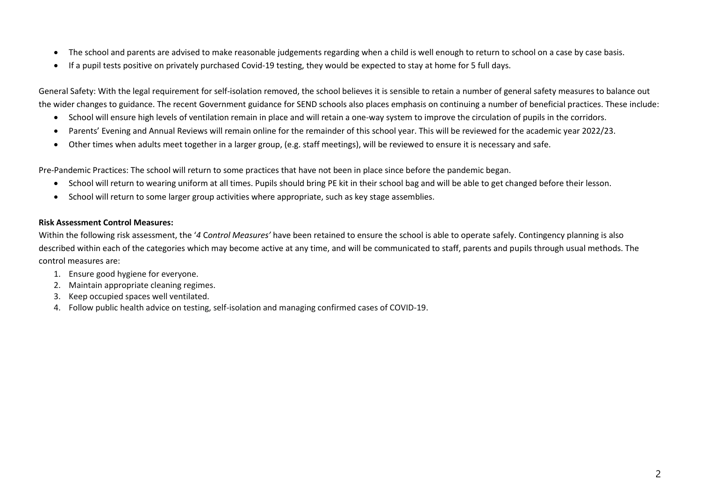- The school and parents are advised to make reasonable judgements regarding when a child is well enough to return to school on a case by case basis.
- If a pupil tests positive on privately purchased Covid-19 testing, they would be expected to stay at home for 5 full days.

General Safety: With the legal requirement for self-isolation removed, the school believes it is sensible to retain a number of general safety measures to balance out the wider changes to guidance. The recent Government guidance for SEND schools also places emphasis on continuing a number of beneficial practices. These include:

- School will ensure high levels of ventilation remain in place and will retain a one-way system to improve the circulation of pupils in the corridors.
- Parents' Evening and Annual Reviews will remain online for the remainder of this school year. This will be reviewed for the academic year 2022/23.
- Other times when adults meet together in a larger group, (e.g. staff meetings), will be reviewed to ensure it is necessary and safe.

Pre-Pandemic Practices: The school will return to some practices that have not been in place since before the pandemic began.

- School will return to wearing uniform at all times. Pupils should bring PE kit in their school bag and will be able to get changed before their lesson.
- School will return to some larger group activities where appropriate, such as key stage assemblies.

#### **Risk Assessment Control Measures:**

Within the following risk assessment, the '*4* C*ontrol Measures'* have been retained to ensure the school is able to operate safely. Contingency planning is also described within each of the categories which may become active at any time, and will be communicated to staff, parents and pupils through usual methods. The control measures are:

- 1. Ensure good hygiene for everyone.
- 2. Maintain appropriate cleaning regimes.
- 3. Keep occupied spaces well ventilated.
- 4. Follow public health advice on testing, self-isolation and managing confirmed cases of COVID-19.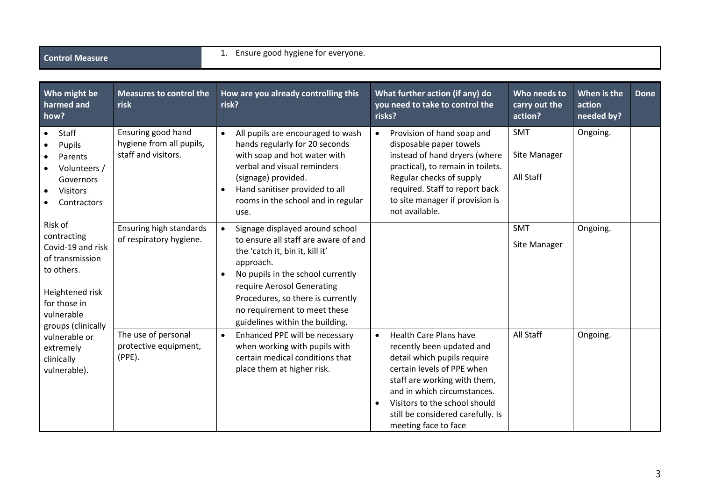| Who might be<br>harmed and<br>how?                                                                                                                  | <b>Measures to control the</b><br>risk                                | How are you already controlling this<br>risk?                                                                                                                                                                                                                                                                                | What further action (if any) do<br>you need to take to control the<br>risks?                                                                                                                                                                                                                      | Who needs to<br>carry out the<br>action? | When is the<br>action<br>needed by? | <b>Done</b> |
|-----------------------------------------------------------------------------------------------------------------------------------------------------|-----------------------------------------------------------------------|------------------------------------------------------------------------------------------------------------------------------------------------------------------------------------------------------------------------------------------------------------------------------------------------------------------------------|---------------------------------------------------------------------------------------------------------------------------------------------------------------------------------------------------------------------------------------------------------------------------------------------------|------------------------------------------|-------------------------------------|-------------|
| Staff<br>$\bullet$<br>Pupils<br>Parents<br>Volunteers /<br>Governors<br>Visitors<br>Contractors                                                     | Ensuring good hand<br>hygiene from all pupils,<br>staff and visitors. | All pupils are encouraged to wash<br>$\bullet$<br>hands regularly for 20 seconds<br>with soap and hot water with<br>verbal and visual reminders<br>(signage) provided.<br>Hand sanitiser provided to all<br>$\bullet$<br>rooms in the school and in regular<br>use.                                                          | Provision of hand soap and<br>disposable paper towels<br>instead of hand dryers (where<br>practical), to remain in toilets.<br>Regular checks of supply<br>required. Staff to report back<br>to site manager if provision is<br>not available.                                                    | <b>SMT</b><br>Site Manager<br>All Staff  | Ongoing.                            |             |
| Risk of<br>contracting<br>Covid-19 and risk<br>of transmission<br>to others.<br>Heightened risk<br>for those in<br>vulnerable<br>groups (clinically | Ensuring high standards<br>of respiratory hygiene.                    | $\bullet$<br>Signage displayed around school<br>to ensure all staff are aware of and<br>the 'catch it, bin it, kill it'<br>approach.<br>No pupils in the school currently<br>$\bullet$<br>require Aerosol Generating<br>Procedures, so there is currently<br>no requirement to meet these<br>guidelines within the building. |                                                                                                                                                                                                                                                                                                   | <b>SMT</b><br>Site Manager               | Ongoing.                            |             |
| vulnerable or<br>extremely<br>clinically<br>vulnerable).                                                                                            | The use of personal<br>protective equipment,<br>(PPE).                | Enhanced PPE will be necessary<br>$\bullet$<br>when working with pupils with<br>certain medical conditions that<br>place them at higher risk.                                                                                                                                                                                | <b>Health Care Plans have</b><br>$\bullet$<br>recently been updated and<br>detail which pupils require<br>certain levels of PPE when<br>staff are working with them,<br>and in which circumstances.<br>Visitors to the school should<br>still be considered carefully. Is<br>meeting face to face | All Staff                                | Ongoing.                            |             |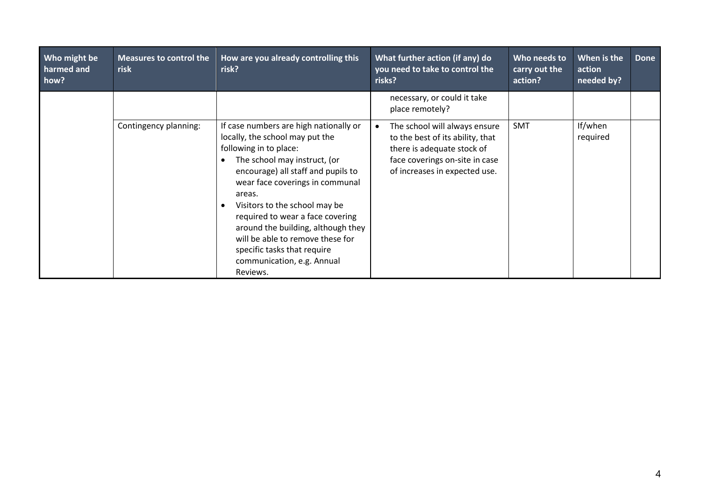| Who might be<br>harmed and<br>how? | <b>Measures to control the</b><br>risk | How are you already controlling this<br>risk?                                                                                                                                                                                                                                                                                                                                                                                                  | What further action (if any) do<br>you need to take to control the<br>risks?                                                                                            | Who needs to<br>carry out the<br>action? | When is the<br>action<br>needed by? | Done |
|------------------------------------|----------------------------------------|------------------------------------------------------------------------------------------------------------------------------------------------------------------------------------------------------------------------------------------------------------------------------------------------------------------------------------------------------------------------------------------------------------------------------------------------|-------------------------------------------------------------------------------------------------------------------------------------------------------------------------|------------------------------------------|-------------------------------------|------|
|                                    |                                        |                                                                                                                                                                                                                                                                                                                                                                                                                                                | necessary, or could it take<br>place remotely?                                                                                                                          |                                          |                                     |      |
|                                    | Contingency planning:                  | If case numbers are high nationally or<br>locally, the school may put the<br>following in to place:<br>The school may instruct, (or<br>encourage) all staff and pupils to<br>wear face coverings in communal<br>areas.<br>Visitors to the school may be<br>required to wear a face covering<br>around the building, although they<br>will be able to remove these for<br>specific tasks that require<br>communication, e.g. Annual<br>Reviews. | The school will always ensure<br>٠<br>to the best of its ability, that<br>there is adequate stock of<br>face coverings on-site in case<br>of increases in expected use. | <b>SMT</b>                               | If/when<br>required                 |      |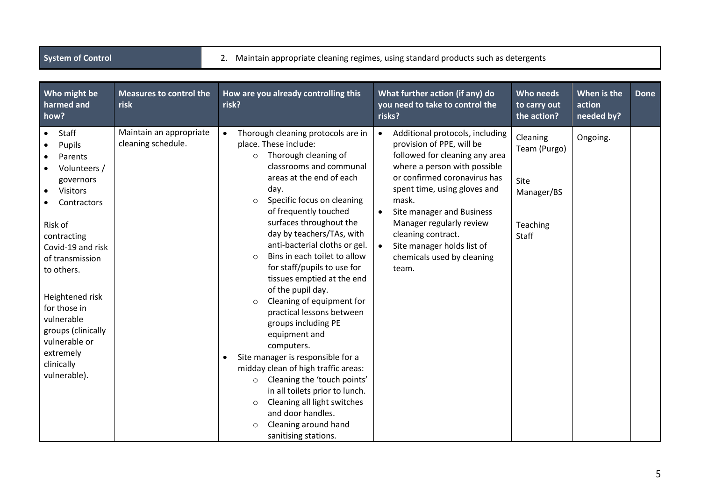|  | <b>System of Contro</b> |
|--|-------------------------|
|  |                         |

2. Maintain appropriate cleaning regimes, using standard products such as detergents

| Who might be<br>harmed and<br>how?                                                                                                                                                                                                                                                                                        | <b>Measures to control the</b><br>risk        | How are you already controlling this<br>risk?                                                                                                                                                                                                                                                                                                                                                                                                                                                                                                                                                                                                                                                                                                                                                                                                                                   | What further action (if any) do<br>you need to take to control the<br>risks?                                                                                                                                                                                                                                                                                                                       | Who needs<br>to carry out<br>the action?                            | When is the<br>action<br>needed by? | <b>Done</b> |
|---------------------------------------------------------------------------------------------------------------------------------------------------------------------------------------------------------------------------------------------------------------------------------------------------------------------------|-----------------------------------------------|---------------------------------------------------------------------------------------------------------------------------------------------------------------------------------------------------------------------------------------------------------------------------------------------------------------------------------------------------------------------------------------------------------------------------------------------------------------------------------------------------------------------------------------------------------------------------------------------------------------------------------------------------------------------------------------------------------------------------------------------------------------------------------------------------------------------------------------------------------------------------------|----------------------------------------------------------------------------------------------------------------------------------------------------------------------------------------------------------------------------------------------------------------------------------------------------------------------------------------------------------------------------------------------------|---------------------------------------------------------------------|-------------------------------------|-------------|
| Staff<br>Pupils<br>Parents<br>Volunteers /<br>governors<br><b>Visitors</b><br>$\bullet$<br>Contractors<br>Risk of<br>contracting<br>Covid-19 and risk<br>of transmission<br>to others.<br>Heightened risk<br>for those in<br>vulnerable<br>groups (clinically<br>vulnerable or<br>extremely<br>clinically<br>vulnerable). | Maintain an appropriate<br>cleaning schedule. | Thorough cleaning protocols are in<br>$\bullet$<br>place. These include:<br>Thorough cleaning of<br>$\circ$<br>classrooms and communal<br>areas at the end of each<br>day.<br>Specific focus on cleaning<br>$\circ$<br>of frequently touched<br>surfaces throughout the<br>day by teachers/TAs, with<br>anti-bacterial cloths or gel.<br>Bins in each toilet to allow<br>$\circ$<br>for staff/pupils to use for<br>tissues emptied at the end<br>of the pupil day.<br>Cleaning of equipment for<br>$\circ$<br>practical lessons between<br>groups including PE<br>equipment and<br>computers.<br>Site manager is responsible for a<br>midday clean of high traffic areas:<br>Cleaning the 'touch points'<br>$\circ$<br>in all toilets prior to lunch.<br>Cleaning all light switches<br>$\circ$<br>and door handles.<br>Cleaning around hand<br>$\circ$<br>sanitising stations. | Additional protocols, including<br>$\bullet$<br>provision of PPE, will be<br>followed for cleaning any area<br>where a person with possible<br>or confirmed coronavirus has<br>spent time, using gloves and<br>mask.<br>Site manager and Business<br>$\bullet$<br>Manager regularly review<br>cleaning contract.<br>Site manager holds list of<br>$\bullet$<br>chemicals used by cleaning<br>team. | Cleaning<br>Team (Purgo)<br>Site<br>Manager/BS<br>Teaching<br>Staff | Ongoing.                            |             |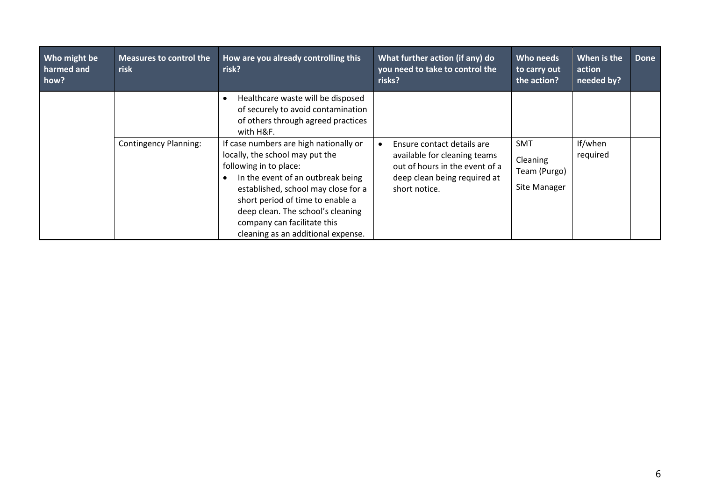| Who might be<br>harmed and<br>how? | <b>Measures to control the</b><br>risk | How are you already controlling this<br>risk?                                                                                                                                                                                                                                                                                 | What further action (if any) do<br>you need to take to control the<br>risks?                                                                  | Who needs<br>to carry out<br>the action?               | When is the<br>action<br>needed by? | <b>Done</b> |
|------------------------------------|----------------------------------------|-------------------------------------------------------------------------------------------------------------------------------------------------------------------------------------------------------------------------------------------------------------------------------------------------------------------------------|-----------------------------------------------------------------------------------------------------------------------------------------------|--------------------------------------------------------|-------------------------------------|-------------|
|                                    |                                        | Healthcare waste will be disposed<br>of securely to avoid contamination<br>of others through agreed practices<br>with H&F.                                                                                                                                                                                                    |                                                                                                                                               |                                                        |                                     |             |
|                                    | <b>Contingency Planning:</b>           | If case numbers are high nationally or<br>locally, the school may put the<br>following in to place:<br>In the event of an outbreak being<br>established, school may close for a<br>short period of time to enable a<br>deep clean. The school's cleaning<br>company can facilitate this<br>cleaning as an additional expense. | Ensure contact details are<br>available for cleaning teams<br>out of hours in the event of a<br>deep clean being required at<br>short notice. | <b>SMT</b><br>Cleaning<br>Team (Purgo)<br>Site Manager | If/when<br>required                 |             |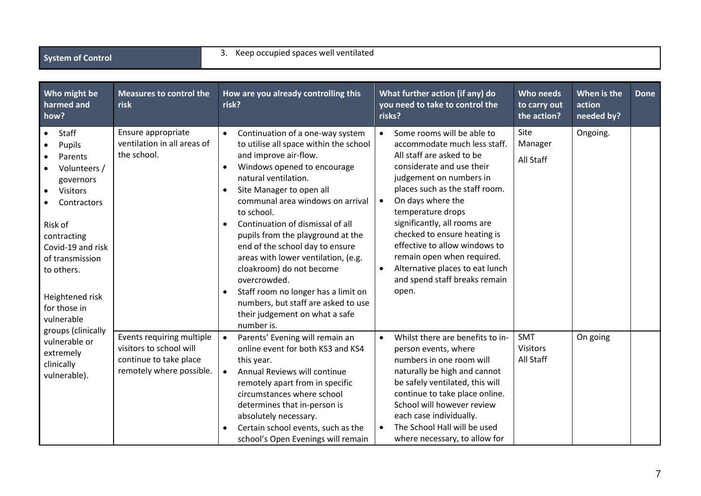|  | <b>System of Control</b> |
|--|--------------------------|
|  |                          |

### 3. Keep occupied spaces well ventilated

| Who might be<br>harmed and<br>how?                                                                                                                                                                                                            | <b>Measures to control the</b><br>risk                                                                     | How are you already controlling this<br>risk?                                                                                                                                                                                                                                                                                                                                                                                                                                                                                                                                                                             | What further action (if any) do<br>you need to take to control the<br>risks?                                                                                                                                                                                                                                                                                                                                                                                      | Who needs<br>to carry out<br>the action? | When is the<br>action<br>needed by? | <b>Done</b> |
|-----------------------------------------------------------------------------------------------------------------------------------------------------------------------------------------------------------------------------------------------|------------------------------------------------------------------------------------------------------------|---------------------------------------------------------------------------------------------------------------------------------------------------------------------------------------------------------------------------------------------------------------------------------------------------------------------------------------------------------------------------------------------------------------------------------------------------------------------------------------------------------------------------------------------------------------------------------------------------------------------------|-------------------------------------------------------------------------------------------------------------------------------------------------------------------------------------------------------------------------------------------------------------------------------------------------------------------------------------------------------------------------------------------------------------------------------------------------------------------|------------------------------------------|-------------------------------------|-------------|
| Staff<br>$\bullet$<br>Pupils<br>Parents<br>Volunteers /<br>governors<br>Visitors<br>$\bullet$<br>Contractors<br>Risk of<br>contracting<br>Covid-19 and risk<br>of transmission<br>to others.<br>Heightened risk<br>for those in<br>vulnerable | Ensure appropriate<br>ventilation in all areas of<br>the school.                                           | Continuation of a one-way system<br>$\bullet$<br>to utilise all space within the school<br>and improve air-flow.<br>Windows opened to encourage<br>$\bullet$<br>natural ventilation.<br>Site Manager to open all<br>$\bullet$<br>communal area windows on arrival<br>to school.<br>Continuation of dismissal of all<br>$\bullet$<br>pupils from the playground at the<br>end of the school day to ensure<br>areas with lower ventilation, (e.g.<br>cloakroom) do not become<br>overcrowded.<br>Staff room no longer has a limit on<br>numbers, but staff are asked to use<br>their judgement on what a safe<br>number is. | Some rooms will be able to<br>$\bullet$<br>accommodate much less staff.<br>All staff are asked to be<br>considerate and use their<br>judgement on numbers in<br>places such as the staff room.<br>On days where the<br>$\bullet$<br>temperature drops<br>significantly, all rooms are<br>checked to ensure heating is<br>effective to allow windows to<br>remain open when required.<br>Alternative places to eat lunch<br>and spend staff breaks remain<br>open. | Site<br>Manager<br>All Staff             | Ongoing.                            |             |
| groups (clinically<br>vulnerable or<br>extremely<br>clinically<br>vulnerable).                                                                                                                                                                | Events requiring multiple<br>visitors to school will<br>continue to take place<br>remotely where possible. | Parents' Evening will remain an<br>$\bullet$<br>online event for both KS3 and KS4<br>this year.<br>Annual Reviews will continue<br>$\bullet$<br>remotely apart from in specific<br>circumstances where school<br>determines that in-person is<br>absolutely necessary.<br>Certain school events, such as the<br>$\bullet$<br>school's Open Evenings will remain                                                                                                                                                                                                                                                           | Whilst there are benefits to in-<br>$\bullet$<br>person events, where<br>numbers in one room will<br>naturally be high and cannot<br>be safely ventilated, this will<br>continue to take place online.<br>School will however review<br>each case individually.<br>The School Hall will be used<br>$\bullet$<br>where necessary, to allow for                                                                                                                     | <b>SMT</b><br>Visitors<br>All Staff      | On going                            |             |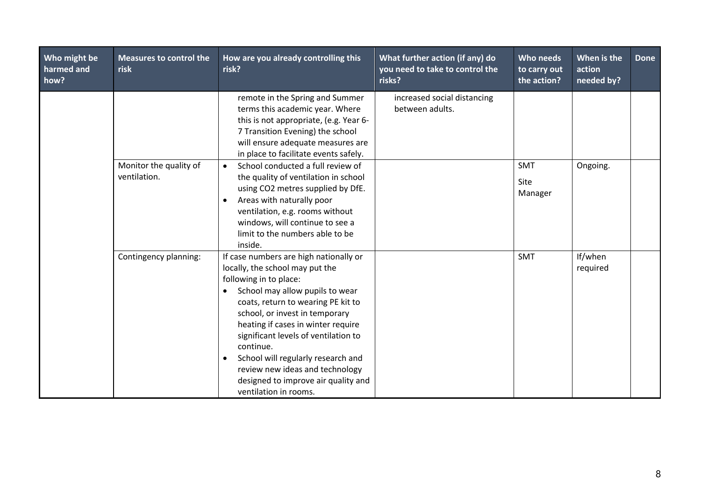| Who might be<br>harmed and<br>how? | <b>Measures to control the</b><br>risk | How are you already controlling this<br>risk?                                                                                                                                                                                                                                                                                                                                                                                                                                | What further action (if any) do<br>you need to take to control the<br>risks? | Who needs<br>to carry out<br>the action? | When is the<br>action<br>needed by? | <b>Done</b> |
|------------------------------------|----------------------------------------|------------------------------------------------------------------------------------------------------------------------------------------------------------------------------------------------------------------------------------------------------------------------------------------------------------------------------------------------------------------------------------------------------------------------------------------------------------------------------|------------------------------------------------------------------------------|------------------------------------------|-------------------------------------|-------------|
|                                    |                                        | remote in the Spring and Summer<br>terms this academic year. Where<br>this is not appropriate, (e.g. Year 6-<br>7 Transition Evening) the school<br>will ensure adequate measures are<br>in place to facilitate events safely.                                                                                                                                                                                                                                               | increased social distancing<br>between adults.                               |                                          |                                     |             |
|                                    | Monitor the quality of<br>ventilation. | School conducted a full review of<br>$\bullet$<br>the quality of ventilation in school<br>using CO2 metres supplied by DfE.<br>Areas with naturally poor<br>ventilation, e.g. rooms without<br>windows, will continue to see a<br>limit to the numbers able to be<br>inside.                                                                                                                                                                                                 |                                                                              | <b>SMT</b><br>Site<br>Manager            | Ongoing.                            |             |
|                                    | Contingency planning:                  | If case numbers are high nationally or<br>locally, the school may put the<br>following in to place:<br>School may allow pupils to wear<br>$\bullet$<br>coats, return to wearing PE kit to<br>school, or invest in temporary<br>heating if cases in winter require<br>significant levels of ventilation to<br>continue.<br>School will regularly research and<br>$\bullet$<br>review new ideas and technology<br>designed to improve air quality and<br>ventilation in rooms. |                                                                              | <b>SMT</b>                               | If/when<br>required                 |             |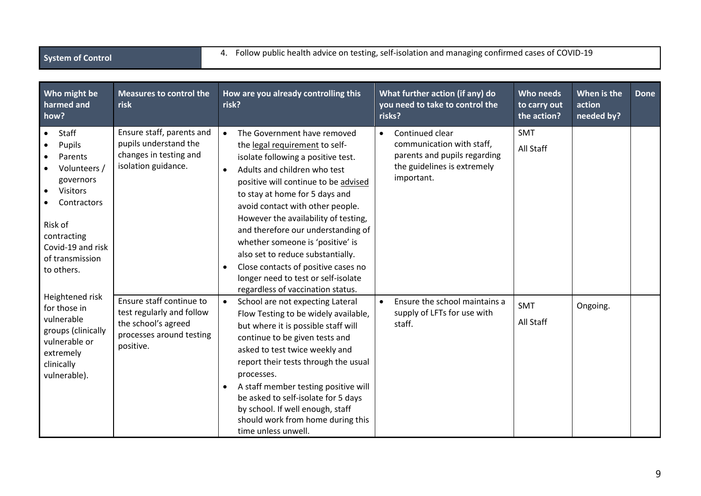## **System of Control** 4. Follow public health advice on testing, self-isolation and managing confirmed cases of COVID-19

| Who might be<br>harmed and<br>how?                                                                                                                                                                  | <b>Measures to control the</b><br>risk                                                                                | How are you already controlling this<br>risk?                                                                                                                                                                                                                                                                                                                                                                                                                                                                                                                      | What further action (if any) do<br>you need to take to control the<br>risks?                                                           | Who needs<br>to carry out<br>the action? | When is the<br>action<br>needed by? | <b>Done</b> |
|-----------------------------------------------------------------------------------------------------------------------------------------------------------------------------------------------------|-----------------------------------------------------------------------------------------------------------------------|--------------------------------------------------------------------------------------------------------------------------------------------------------------------------------------------------------------------------------------------------------------------------------------------------------------------------------------------------------------------------------------------------------------------------------------------------------------------------------------------------------------------------------------------------------------------|----------------------------------------------------------------------------------------------------------------------------------------|------------------------------------------|-------------------------------------|-------------|
| Staff<br>$\bullet$<br>Pupils<br>Parents<br>Volunteers /<br>governors<br><b>Visitors</b><br>$\bullet$<br>Contractors<br>Risk of<br>contracting<br>Covid-19 and risk<br>of transmission<br>to others. | Ensure staff, parents and<br>pupils understand the<br>changes in testing and<br>isolation guidance.                   | The Government have removed<br>$\bullet$<br>the legal requirement to self-<br>isolate following a positive test.<br>Adults and children who test<br>$\bullet$<br>positive will continue to be advised<br>to stay at home for 5 days and<br>avoid contact with other people.<br>However the availability of testing,<br>and therefore our understanding of<br>whether someone is 'positive' is<br>also set to reduce substantially.<br>Close contacts of positive cases no<br>$\bullet$<br>longer need to test or self-isolate<br>regardless of vaccination status. | Continued clear<br>$\bullet$<br>communication with staff,<br>parents and pupils regarding<br>the guidelines is extremely<br>important. | <b>SMT</b><br>All Staff                  |                                     |             |
| Heightened risk<br>for those in<br>vulnerable<br>groups (clinically<br>vulnerable or<br>extremely<br>clinically<br>vulnerable).                                                                     | Ensure staff continue to<br>test regularly and follow<br>the school's agreed<br>processes around testing<br>positive. | School are not expecting Lateral<br>$\bullet$<br>Flow Testing to be widely available,<br>but where it is possible staff will<br>continue to be given tests and<br>asked to test twice weekly and<br>report their tests through the usual<br>processes.<br>A staff member testing positive will<br>$\bullet$<br>be asked to self-isolate for 5 days<br>by school. If well enough, staff<br>should work from home during this<br>time unless unwell.                                                                                                                 | Ensure the school maintains a<br>$\bullet$<br>supply of LFTs for use with<br>staff.                                                    | <b>SMT</b><br>All Staff                  | Ongoing.                            |             |